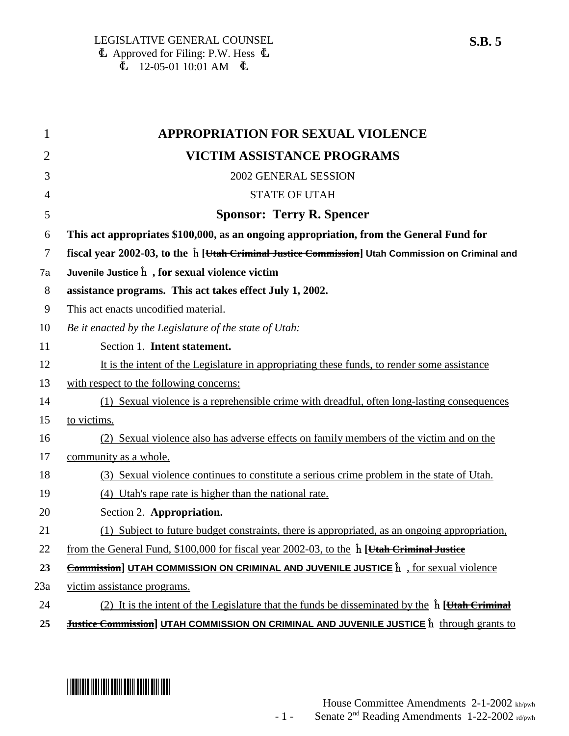| 1              | <b>APPROPRIATION FOR SEXUAL VIOLENCE</b>                                                                          |
|----------------|-------------------------------------------------------------------------------------------------------------------|
| $\overline{2}$ | <b>VICTIM ASSISTANCE PROGRAMS</b>                                                                                 |
| 3              | 2002 GENERAL SESSION                                                                                              |
| $\overline{4}$ | <b>STATE OF UTAH</b>                                                                                              |
| 5              | <b>Sponsor: Terry R. Spencer</b>                                                                                  |
| 6              | This act appropriates \$100,000, as an ongoing appropriation, from the General Fund for                           |
| $\overline{7}$ | fiscal year 2002-03, to the $\hat{h}$ [ <i>Utah Criminal Justice Commission</i> ] Utah Commission on Criminal and |
| 7a             | Juvenile Justice $\hat{h}$ , for sexual violence victim                                                           |
| 8              | assistance programs. This act takes effect July 1, 2002.                                                          |
| 9              | This act enacts uncodified material.                                                                              |
| 10             | Be it enacted by the Legislature of the state of Utah:                                                            |
| 11             | Section 1. Intent statement.                                                                                      |
| 12             | It is the intent of the Legislature in appropriating these funds, to render some assistance                       |
| 13             | with respect to the following concerns:                                                                           |
| 14             | (1) Sexual violence is a reprehensible crime with dreadful, often long-lasting consequences                       |
| 15             | to victims.                                                                                                       |
| 16             | (2) Sexual violence also has adverse effects on family members of the victim and on the                           |
| 17             | community as a whole.                                                                                             |
| 18             | (3) Sexual violence continues to constitute a serious crime problem in the state of Utah.                         |
| 19             | (4) Utah's rape rate is higher than the national rate.                                                            |
| 20             | Section 2. Appropriation.                                                                                         |
| 21             | (1) Subject to future budget constraints, there is appropriated, as an ongoing appropriation,                     |
| 22             | from the General Fund, \$100,000 for fiscal year 2002-03, to the $\hat{h}$ [Htah Criminal Justice]                |
| 23             | <b>Commission] UTAH COMMISSION ON CRIMINAL AND JUVENILE JUSTICE</b> $\hat{h}$ , for sexual violence               |
| 23a            | victim assistance programs.                                                                                       |
| 24             | (2) It is the intent of the Legislature that the funds be disseminated by the $\hat{h}$ [Htah Criminal]           |
| 25             | <b>Justice Commission] UTAH COMMISSION ON CRIMINAL AND JUVENILE JUSTICE</b> $\hat{h}$ through grants to           |

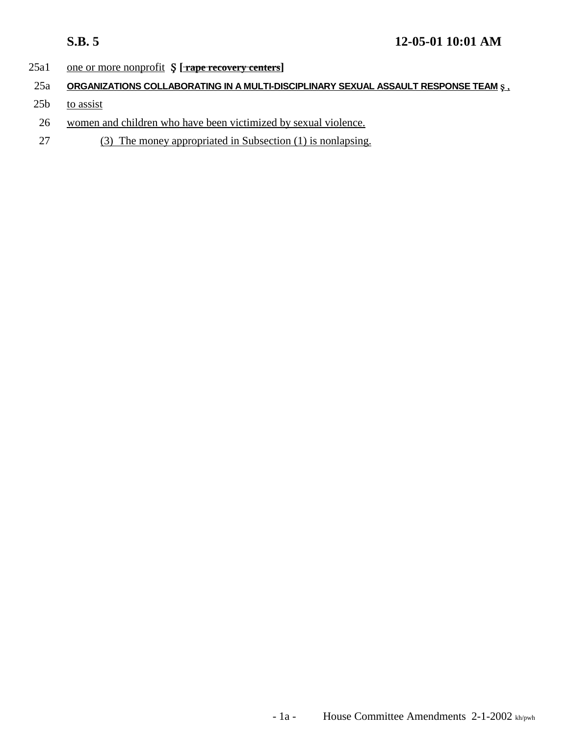### 25a1 one or more nonprofit  $\oint$  [**rape recovery centers**]

- 25a **ORGANIZATIONS COLLABORATING IN A MULTI-DISCIPLINARY SEXUAL ASSAULT RESPONSE TEAM § .**
- $25b$  to assist
- 26 women and children who have been victimized by sexual violence.
- 27 (3) The money appropriated in Subsection (1) is nonlapsing.